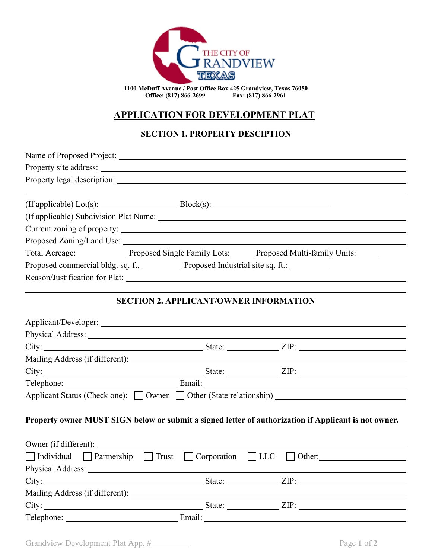

**1100 McDuff Avenue / Post Office Box 425 Grandview, Texas 76050** Office: (817) 866-2699

# **APPLICATION FOR DEVELOPMENT PLAT**

## **SECTION 1. PROPERTY DESCIPTION**

| Total Acreage: _______________ Proposed Single Family Lots: ______ Proposed Multi-family Units: _____<br>Proposed commercial bldg. sq. ft. _____________ Proposed Industrial site sq. ft.: ___________ |                |
|--------------------------------------------------------------------------------------------------------------------------------------------------------------------------------------------------------|----------------|
|                                                                                                                                                                                                        |                |
|                                                                                                                                                                                                        |                |
|                                                                                                                                                                                                        |                |
|                                                                                                                                                                                                        |                |
|                                                                                                                                                                                                        |                |
|                                                                                                                                                                                                        |                |
|                                                                                                                                                                                                        |                |
|                                                                                                                                                                                                        |                |
|                                                                                                                                                                                                        |                |
|                                                                                                                                                                                                        |                |
|                                                                                                                                                                                                        |                |
| <b>SECTION 2. APPLICANT/OWNER INFORMATION</b>                                                                                                                                                          |                |
|                                                                                                                                                                                                        |                |
|                                                                                                                                                                                                        |                |
|                                                                                                                                                                                                        |                |
|                                                                                                                                                                                                        |                |
|                                                                                                                                                                                                        |                |
|                                                                                                                                                                                                        |                |
| Applicant Status (Check one): □ Owner □ Other (State relationship) ________________________________                                                                                                    |                |
| Property owner MUST SIGN below or submit a signed letter of authorization if Applicant is not owner.                                                                                                   |                |
|                                                                                                                                                                                                        |                |
| $\Box$ Individual $\Box$ Partnership $\Box$ Trust $\Box$ Corporation $\Box$ LLC                                                                                                                        | $\vert$ Other: |
|                                                                                                                                                                                                        |                |
|                                                                                                                                                                                                        |                |
|                                                                                                                                                                                                        |                |
|                                                                                                                                                                                                        |                |
|                                                                                                                                                                                                        |                |